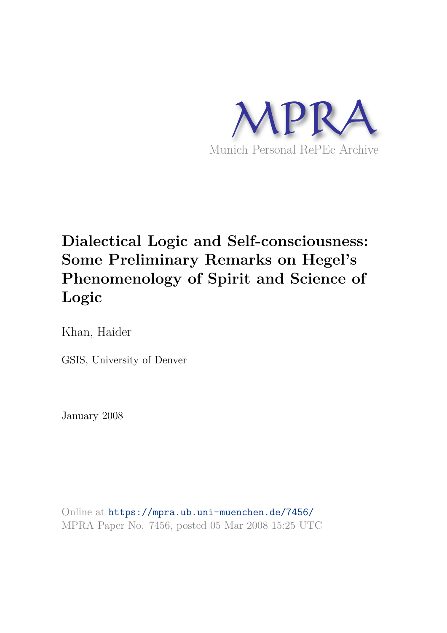

## **Dialectical Logic and Self-consciousness: Some Preliminary Remarks on Hegel's Phenomenology of Spirit and Science of Logic**

Khan, Haider

GSIS, University of Denver

January 2008

Online at https://mpra.ub.uni-muenchen.de/7456/ MPRA Paper No. 7456, posted 05 Mar 2008 15:25 UTC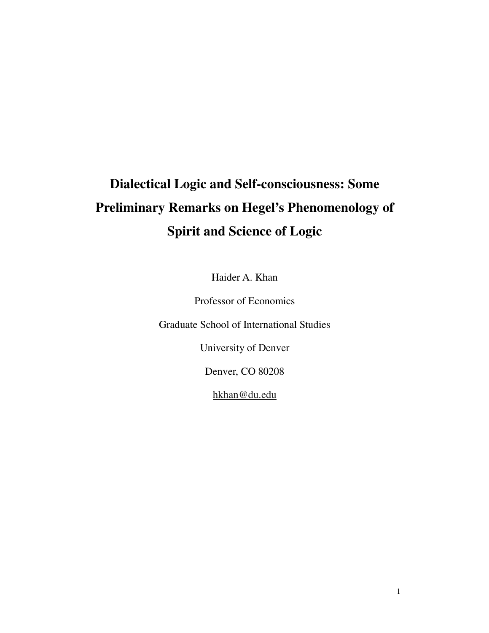# **Dialectical Logic and Self-consciousness: Some Preliminary Remarks on Hegel's Phenomenology of Spirit and Science of Logic**

Haider A. Khan

Professor of Economics

Graduate School of International Studies

University of Denver

Denver, CO 80208

hkhan@du.edu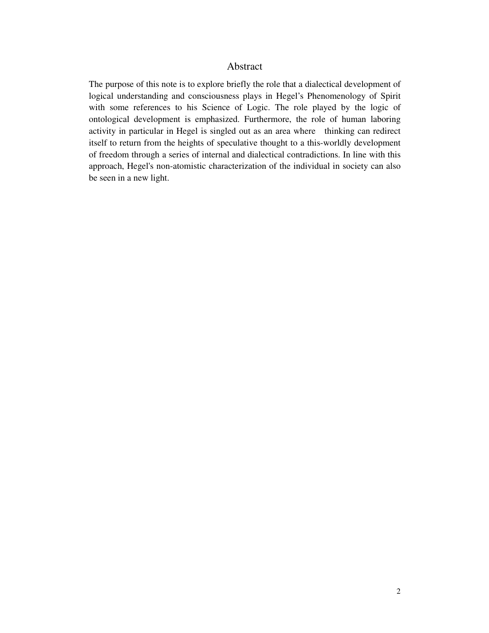## Abstract

The purpose of this note is to explore briefly the role that a dialectical development of logical understanding and consciousness plays in Hegel's Phenomenology of Spirit with some references to his Science of Logic. The role played by the logic of ontological development is emphasized. Furthermore, the role of human laboring activity in particular in Hegel is singled out as an area where thinking can redirect itself to return from the heights of speculative thought to a this-worldly development of freedom through a series of internal and dialectical contradictions. In line with this approach, Hegel's non-atomistic characterization of the individual in society can also be seen in a new light.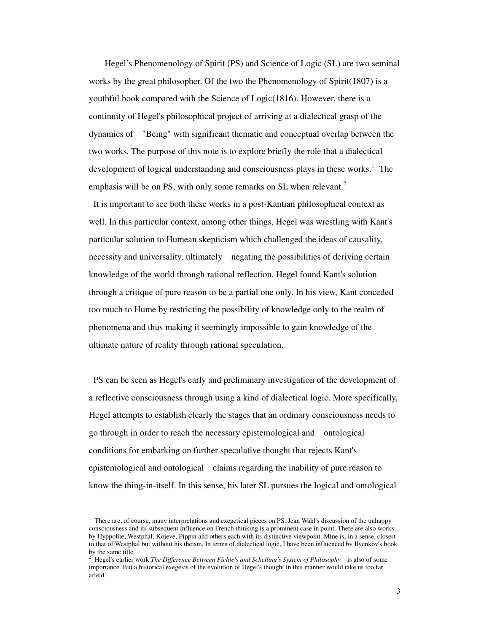Hegel's Phenomenology of Spirit (PS) and Science of Logic (SL) are two seminal works by the great philosopher. Of the two the Phenomenology of Spirit(1807) is a youthful book compared with the Science of Logic(1816). However, there is a continuity of Hegel's philosophical project of arriving at a dialectical grasp of the dynamics of "Being" with significant thematic and conceptual overlap between the two works. The purpose of this note is to explore briefly the role that a dialectical development of logical understanding and consciousness plays in these works.<sup>1</sup> The emphasis will be on PS, with only some remarks on SL when relevant.<sup>2</sup>

 It is important to see both these works in a post-Kantian philosophical context as well. In this particular context, among other things, Hegel was wrestling with Kant's particular solution to Humean skepticism which challenged the ideas of causality, necessity and universality, ultimately negating the possibilities of deriving certain knowledge of the world through rational reflection. Hegel found Kant's solution through a critique of pure reason to be a partial one only. In his view, Kant conceded too much to Hume by restricting the possibility of knowledge only to the realm of phenomena and thus making it seemingly impossible to gain knowledge of the ultimate nature of reality through rational speculation.

 PS can be seen as Hegel's early and preliminary investigation of the development of a reflective consciousness through using a kind of dialectical logic. More specifically, Hegel attempts to establish clearly the stages that an ordinary consciousness needs to go through in order to reach the necessary epistemological and ontological conditions for embarking on further speculative thought that rejects Kant's epistemological and ontological claims regarding the inability of pure reason to know the thing-in-itself. In this sense, his later SL pursues the logical and ontological

 $\overline{a}$ 

<sup>&</sup>lt;sup>1</sup> There are, of course, many interpretations and exegetical pieces on PS. Jean Wahl's discussion of the unhappy consciousness and its subsequent influence on French thinking is a prominent case in point. There are also works by Hyppolite, Westphal, Kojeve, Pippin and others each with its distinctive viewpoint. Mine is, in a sense, closest to that of Westphal but without his theism. In terms of dialectical logic, I have been influenced by Ilyenkov's book by the same title.

<sup>&</sup>lt;sup>2</sup> Hegel's earlier work *The Difference Between Fichte's and Schelling's System of Philosophy* is also of some importance. But a historical exegesis of the evolution of Hegel's thought in this manner would take us too far afield.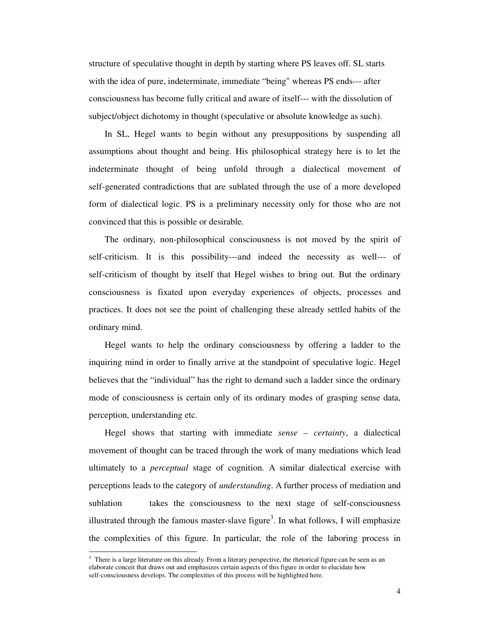structure of speculative thought in depth by starting where PS leaves off. SL starts with the idea of pure, indeterminate, immediate "being" whereas PS ends--- after consciousness has become fully critical and aware of itself--- with the dissolution of subject/object dichotomy in thought (speculative or absolute knowledge as such).

 In SL, Hegel wants to begin without any presuppositions by suspending all assumptions about thought and being. His philosophical strategy here is to let the indeterminate thought of being unfold through a dialectical movement of self-generated contradictions that are sublated through the use of a more developed form of dialectical logic. PS is a preliminary necessity only for those who are not convinced that this is possible or desirable.

 The ordinary, non-philosophical consciousness is not moved by the spirit of self-criticism. It is this possibility---and indeed the necessity as well--- of self-criticism of thought by itself that Hegel wishes to bring out. But the ordinary consciousness is fixated upon everyday experiences of objects, processes and practices. It does not see the point of challenging these already settled habits of the ordinary mind.

 Hegel wants to help the ordinary consciousness by offering a ladder to the inquiring mind in order to finally arrive at the standpoint of speculative logic. Hegel believes that the "individual" has the right to demand such a ladder since the ordinary mode of consciousness is certain only of its ordinary modes of grasping sense data, perception, understanding etc.

 Hegel shows that starting with immediate *sense – certainty*, a dialectical movement of thought can be traced through the work of many mediations which lead ultimately to a *perceptual* stage of cognition. A similar dialectical exercise with perceptions leads to the category of *understanding*. A further process of mediation and sublation takes the consciousness to the next stage of self-consciousness illustrated through the famous master-slave figure<sup>3</sup>. In what follows, I will emphasize the complexities of this figure. In particular, the role of the laboring process in

 $\overline{a}$ 

<sup>&</sup>lt;sup>3</sup> There is a large literature on this already. From a literary perspective, the rhetorical figure can be seen as an elaborate conceit that draws out and emphasizes certain aspects of this figure in order to elucidate how self-consciousness develops. The complexities of this process will be highlighted here.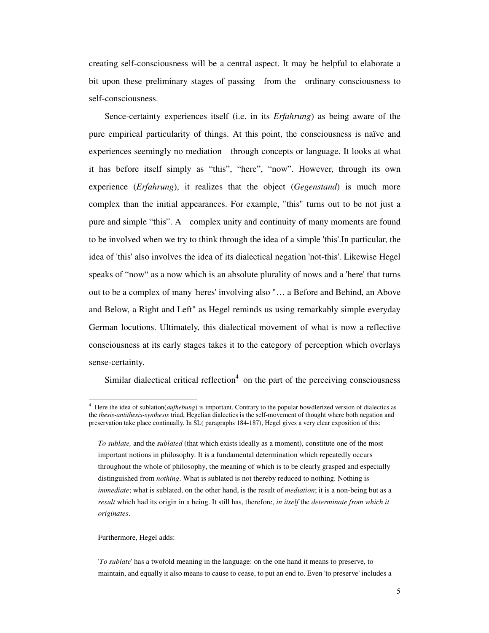creating self-consciousness will be a central aspect. It may be helpful to elaborate a bit upon these preliminary stages of passing from the ordinary consciousness to self-consciousness.

 Sence-certainty experiences itself (i.e. in its *Erfahrung*) as being aware of the pure empirical particularity of things. At this point, the consciousness is naïve and experiences seemingly no mediation through concepts or language. It looks at what it has before itself simply as "this", "here", "now". However, through its own experience (*Erfahrung*), it realizes that the object (*Gegenstand*) is much more complex than the initial appearances. For example, "this" turns out to be not just a pure and simple "this". A complex unity and continuity of many moments are found to be involved when we try to think through the idea of a simple 'this'.In particular, the idea of 'this' also involves the idea of its dialectical negation 'not-this'. Likewise Hegel speaks of "now" as a now which is an absolute plurality of nows and a 'here' that turns out to be a complex of many 'heres' involving also "… a Before and Behind, an Above and Below, a Right and Left" as Hegel reminds us using remarkably simple everyday German locutions. Ultimately, this dialectical movement of what is now a reflective consciousness at its early stages takes it to the category of perception which overlays sense-certainty.

Similar dialectical critical reflection $4$  on the part of the perceiving consciousness

#### Furthermore, Hegel adds:

 $\overline{a}$ 

<sup>4</sup> Here the idea of sublation(*aufhebung*) is important. Contrary to the popular bowdlerized version of dialectics as the *thesis-antithesis-synthesis* triad, Hegelian dialectics is the self-movement of thought where both negation and preservation take place continually. In SL( paragraphs 184-187), Hegel gives a very clear exposition of this:

*To sublate,* and the *sublated* (that which exists ideally as a moment), constitute one of the most important notions in philosophy. It is a fundamental determination which repeatedly occurs throughout the whole of philosophy, the meaning of which is to be clearly grasped and especially distinguished from *nothing*. What is sublated is not thereby reduced to nothing. Nothing is *immediate*; what is sublated, on the other hand, is the result of *mediation*; it is a non-being but as a *result* which had its origin in a being. It still has, therefore, *in itself* the *determinate from which it originates*.

<sup>&#</sup>x27;*To sublate*' has a twofold meaning in the language: on the one hand it means to preserve, to maintain, and equally it also means to cause to cease, to put an end to. Even 'to preserve' includes a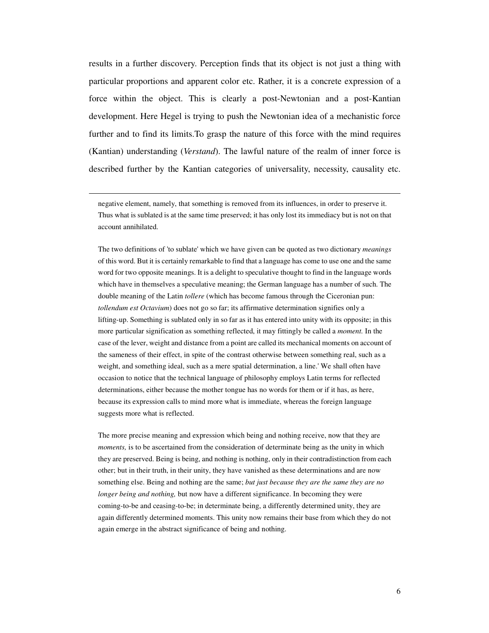results in a further discovery. Perception finds that its object is not just a thing with particular proportions and apparent color etc. Rather, it is a concrete expression of a force within the object. This is clearly a post-Newtonian and a post-Kantian development. Here Hegel is trying to push the Newtonian idea of a mechanistic force further and to find its limits.To grasp the nature of this force with the mind requires (Kantian) understanding (*Verstand*). The lawful nature of the realm of inner force is described further by the Kantian categories of universality, necessity, causality etc.

 $\overline{a}$ 

The two definitions of 'to sublate' which we have given can be quoted as two dictionary *meanings* of this word. But it is certainly remarkable to find that a language has come to use one and the same word for two opposite meanings. It is a delight to speculative thought to find in the language words which have in themselves a speculative meaning; the German language has a number of such. The double meaning of the Latin *tollere* (which has become famous through the Ciceronian pun: *tollendum est Octavium*) does not go so far; its affirmative determination signifies only a lifting-up. Something is sublated only in so far as it has entered into unity with its opposite; in this more particular signification as something reflected, it may fittingly be called a *moment.* In the case of the lever, weight and distance from a point are called its mechanical moments on account of the sameness of their effect, in spite of the contrast otherwise between something real, such as a weight, and something ideal, such as a mere spatial determination, a line.' We shall often have occasion to notice that the technical language of philosophy employs Latin terms for reflected determinations, either because the mother tongue has no words for them or if it has, as here, because its expression calls to mind more what is immediate, whereas the foreign language suggests more what is reflected.

The more precise meaning and expression which being and nothing receive, now that they are *moments*, is to be ascertained from the consideration of determinate being as the unity in which they are preserved. Being is being, and nothing is nothing, only in their contradistinction from each other; but in their truth, in their unity, they have vanished as these determinations and are now something else. Being and nothing are the same; *but just because they are the same they are no longer being and nothing,* but now have a different significance. In becoming they were coming-to-be and ceasing-to-be; in determinate being, a differently determined unity, they are again differently determined moments. This unity now remains their base from which they do not again emerge in the abstract significance of being and nothing.

negative element, namely, that something is removed from its influences, in order to preserve it. Thus what is sublated is at the same time preserved; it has only lost its immediacy but is not on that account annihilated.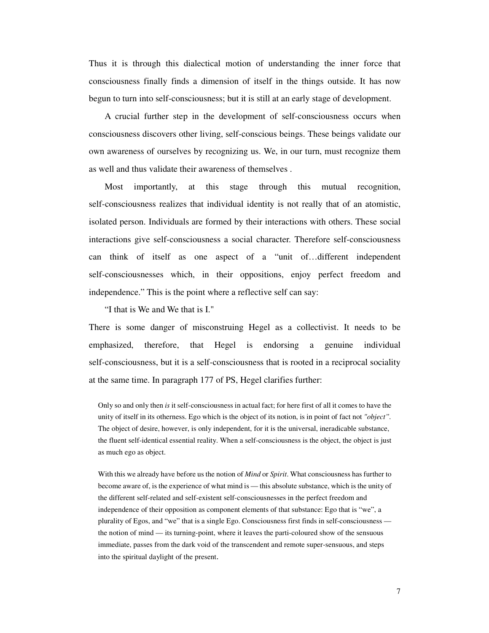Thus it is through this dialectical motion of understanding the inner force that consciousness finally finds a dimension of itself in the things outside. It has now begun to turn into self-consciousness; but it is still at an early stage of development.

 A crucial further step in the development of self-consciousness occurs when consciousness discovers other living, self-conscious beings. These beings validate our own awareness of ourselves by recognizing us. We, in our turn, must recognize them as well and thus validate their awareness of themselves .

 Most importantly, at this stage through this mutual recognition, self-consciousness realizes that individual identity is not really that of an atomistic, isolated person. Individuals are formed by their interactions with others. These social interactions give self-consciousness a social character. Therefore self-consciousness can think of itself as one aspect of a "unit of…different independent self-consciousnesses which, in their oppositions, enjoy perfect freedom and independence." This is the point where a reflective self can say:

"I that is We and We that is I."

There is some danger of misconstruing Hegel as a collectivist. It needs to be emphasized, therefore, that Hegel is endorsing a genuine individual self-consciousness, but it is a self-consciousness that is rooted in a reciprocal sociality at the same time. In paragraph 177 of PS, Hegel clarifies further:

Only so and only then *is* it self-consciousness in actual fact; for here first of all it comes to have the unity of itself in its otherness. Ego which is the object of its notion, is in point of fact not *"object".*  The object of desire, however, is only independent, for it is the universal, ineradicable substance, the fluent self-identical essential reality. When a self-consciousness is the object, the object is just as much ego as object.

With this we already have before us the notion of *Mind* or *Spirit*. What consciousness has further to become aware of, is the experience of what mind is — this absolute substance, which is the unity of the different self-related and self-existent self-consciousnesses in the perfect freedom and independence of their opposition as component elements of that substance: Ego that is "we", a plurality of Egos, and "we" that is a single Ego. Consciousness first finds in self-consciousness the notion of mind — its turning-point, where it leaves the parti-coloured show of the sensuous immediate, passes from the dark void of the transcendent and remote super-sensuous, and steps into the spiritual daylight of the present.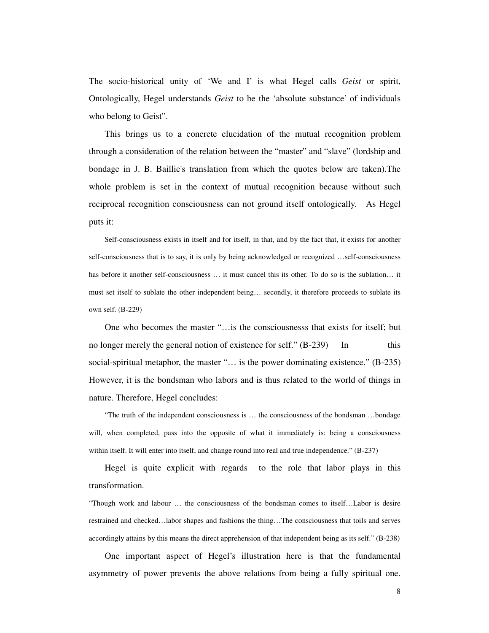The socio-historical unity of 'We and I' is what Hegel calls *Geist* or spirit, Ontologically, Hegel understands *Geist* to be the 'absolute substance' of individuals who belong to Geist".

 This brings us to a concrete elucidation of the mutual recognition problem through a consideration of the relation between the "master" and "slave" (lordship and bondage in J. B. Baillie's translation from which the quotes below are taken).The whole problem is set in the context of mutual recognition because without such reciprocal recognition consciousness can not ground itself ontologically. As Hegel puts it:

Self-consciousness exists in itself and for itself, in that, and by the fact that, it exists for another self-consciousness that is to say, it is only by being acknowledged or recognized …self-consciousness has before it another self-consciousness ... it must cancel this its other. To do so is the sublation... it must set itself to sublate the other independent being… secondly, it therefore proceeds to sublate its own self. (B-229)

 One who becomes the master "…is the consciousnesss that exists for itself; but no longer merely the general notion of existence for self." (B-239) In this social-spiritual metaphor, the master "… is the power dominating existence." (B-235) However, it is the bondsman who labors and is thus related to the world of things in nature. Therefore, Hegel concludes:

"The truth of the independent consciousness is … the consciousness of the bondsman …bondage will, when completed, pass into the opposite of what it immediately is: being a consciousness within itself. It will enter into itself, and change round into real and true independence." (B-237)

 Hegel is quite explicit with regards to the role that labor plays in this transformation.

"Though work and labour … the consciousness of the bondsman comes to itself…Labor is desire restrained and checked…labor shapes and fashions the thing…The consciousness that toils and serves accordingly attains by this means the direct apprehension of that independent being as its self." (B-238)

 One important aspect of Hegel's illustration here is that the fundamental asymmetry of power prevents the above relations from being a fully spiritual one.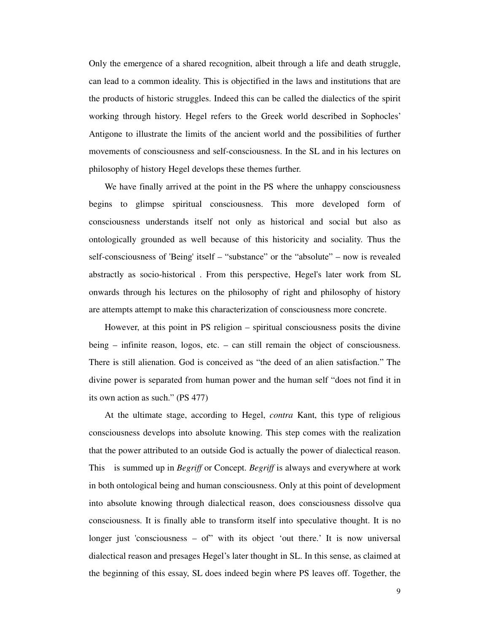Only the emergence of a shared recognition, albeit through a life and death struggle, can lead to a common ideality. This is objectified in the laws and institutions that are the products of historic struggles. Indeed this can be called the dialectics of the spirit working through history. Hegel refers to the Greek world described in Sophocles' Antigone to illustrate the limits of the ancient world and the possibilities of further movements of consciousness and self-consciousness. In the SL and in his lectures on philosophy of history Hegel develops these themes further.

 We have finally arrived at the point in the PS where the unhappy consciousness begins to glimpse spiritual consciousness. This more developed form of consciousness understands itself not only as historical and social but also as ontologically grounded as well because of this historicity and sociality. Thus the self-consciousness of 'Being' itself – "substance" or the "absolute" – now is revealed abstractly as socio-historical . From this perspective, Hegel's later work from SL onwards through his lectures on the philosophy of right and philosophy of history are attempts attempt to make this characterization of consciousness more concrete.

 However, at this point in PS religion – spiritual consciousness posits the divine being – infinite reason, logos, etc. – can still remain the object of consciousness. There is still alienation. God is conceived as "the deed of an alien satisfaction." The divine power is separated from human power and the human self "does not find it in its own action as such." (PS 477)

 At the ultimate stage, according to Hegel, *contra* Kant, this type of religious consciousness develops into absolute knowing. This step comes with the realization that the power attributed to an outside God is actually the power of dialectical reason. This is summed up in *Begriff* or Concept. *Begriff* is always and everywhere at work in both ontological being and human consciousness. Only at this point of development into absolute knowing through dialectical reason, does consciousness dissolve qua consciousness. It is finally able to transform itself into speculative thought. It is no longer just 'consciousness – of" with its object 'out there.' It is now universal dialectical reason and presages Hegel's later thought in SL. In this sense, as claimed at the beginning of this essay, SL does indeed begin where PS leaves off. Together, the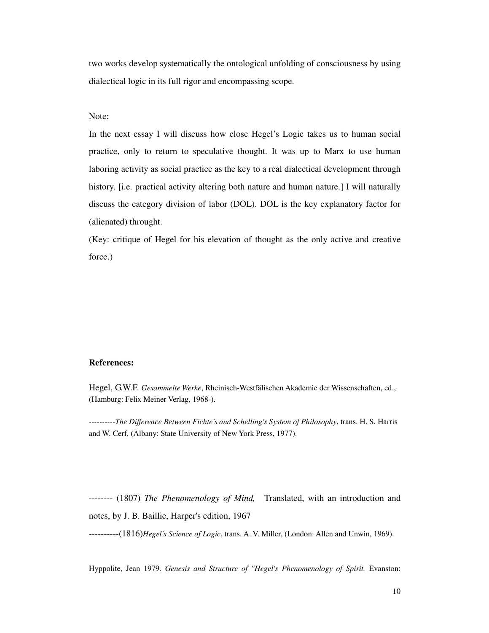two works develop systematically the ontological unfolding of consciousness by using dialectical logic in its full rigor and encompassing scope.

Note:

In the next essay I will discuss how close Hegel's Logic takes us to human social practice, only to return to speculative thought. It was up to Marx to use human laboring activity as social practice as the key to a real dialectical development through history. [i.e. practical activity altering both nature and human nature.] I will naturally discuss the category division of labor (DOL). DOL is the key explanatory factor for (alienated) throught.

(Key: critique of Hegel for his elevation of thought as the only active and creative force.)

### **References:**

Hegel, G.W.F. *Gesammelte Werke*, Rheinisch-Westfälischen Akademie der Wissenschaften, ed., (Hamburg: Felix Meiner Verlag, 1968-).

*----------The Difference Between Fichte's and Schelling's System of Philosophy*, trans. H. S. Harris and W. Cerf, (Albany: State University of New York Press, 1977).

-------- (1807) *The Phenomenology of Mind,* Translated, with an introduction and notes, by J. B. Baillie, Harper's edition, 1967

----------(1816)*Hegel's Science of Logic*, trans. A. V. Miller, (London: Allen and Unwin, 1969).

Hyppolite, Jean 1979. *Genesis and Structure of "Hegel's Phenomenology of Spirit.* Evanston: